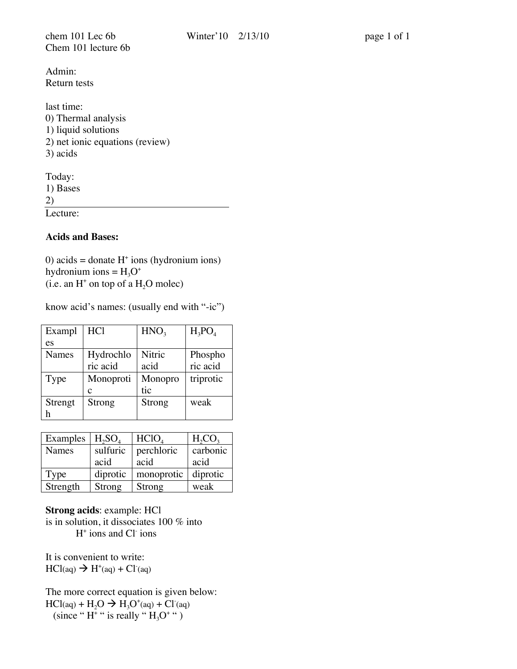chem 101 Lec 6b Winter' 10 2/13/10 page 1 of 1 Chem 101 lecture 6b

Admin: Return tests

last time: 0) Thermal analysis 1) liquid solutions 2) net ionic equations (review) 3) acids

Today: 1) Bases 2) Lecture:

**Acids and Bases:**

 $0$ ) acids = donate  $H^+$  ions (hydronium ions) hydronium ions =  $H_3O^+$ (i.e. an  $H^+$  on top of a  $H_2O$  molec)

know acid's names: (usually end with "-ic")

| Exampl  | <b>HCl</b> | HNO <sub>3</sub> | $H_3PO_4$ |
|---------|------------|------------------|-----------|
| es      |            |                  |           |
| Names   | Hydrochlo  | Nitric           | Phospho   |
|         | ric acid   | acid             | ric acid  |
| Type    | Monoproti  | Monopro          | triprotic |
|         | с          | tic              |           |
| Strengt | Strong     | Strong           | weak      |
|         |            |                  |           |

| Examples     | $H_2SO_4$ | HClO <sub>4</sub> | $H_2CO_3$ |
|--------------|-----------|-------------------|-----------|
| <b>Names</b> | sulfuric  | perchloric        | carbonic  |
|              | acid      | acid              | acid      |
| Type         | diprotic  | monoprotic        | diprotic  |
| Strength     | Strong    | Strong            | weak      |

**Strong acids**: example: HCl is in solution, it dissociates 100 % into H+ ions and Cl- ions

It is convenient to write:  $HCl(aq) \rightarrow H^+(aq) + Cl^-(aq)$ 

The more correct equation is given below:  $\text{HCl}(aq) + \text{H}_2\text{O} \rightarrow \text{H}_3\text{O}^{\dagger}(aq) + \text{Cl}^{\dagger}(aq)$ (since "H<sup>+"</sup> is really "H<sub>3</sub>O<sup>+"</sup>)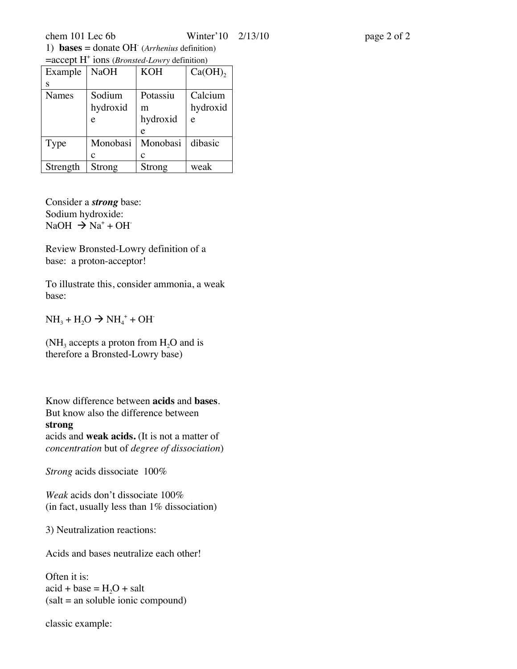| 1) <b>bases</b> = donate OH ( <i>Arrhenius</i> definition)                      |                          |  |                            |  |
|---------------------------------------------------------------------------------|--------------------------|--|----------------------------|--|
| $=$ accept H <sup><math>+</math></sup> ions ( <i>Bronsted-Lowry</i> definition) |                          |  |                            |  |
|                                                                                 | $F^{zamb}$ $N_2OH$ $KOH$ |  | $\Gamma$ <sup>a</sup> (OH) |  |

| Example      | <b>NaOH</b> | <b>KOH</b> | $Ca(OH)$ , |
|--------------|-------------|------------|------------|
| S            |             |            |            |
| <b>Names</b> | Sodium      | Potassiu   | Calcium    |
|              | hydroxid    | m          | hydroxid   |
|              | e           | hydroxid   | e          |
|              |             | e          |            |
| Type         | Monobasi    | Monobasi   | dibasic    |
|              | c           | c          |            |
| Strength     | Strong      | Strong     | weak       |

Consider a *strong* base: Sodium hydroxide:  $NaOH \rightarrow Na^+ + OH^-$ 

Review Bronsted-Lowry definition of a base: a proton-acceptor!

To illustrate this, consider ammonia, a weak base:

 $NH_3 + H_2O \to NH_4^+ + OH^-$ 

(NH<sub>3</sub> accepts a proton from  $H_2O$  and is therefore a Bronsted-Lowry base)

Know difference between **acids** and **bases**. But know also the difference between **strong** acids and **weak acids.** (It is not a matter of *concentration* but of *degree of dissociation*)

*Strong* acids dissociate 100%

*Weak* acids don't dissociate 100% (in fact, usually less than  $1\%$  dissociation)

3) Neutralization reactions:

Acids and bases neutralize each other!

Often it is:  $\text{acid} + \text{base} = H_2O + \text{salt}$ (salt = an soluble ionic compound)

classic example: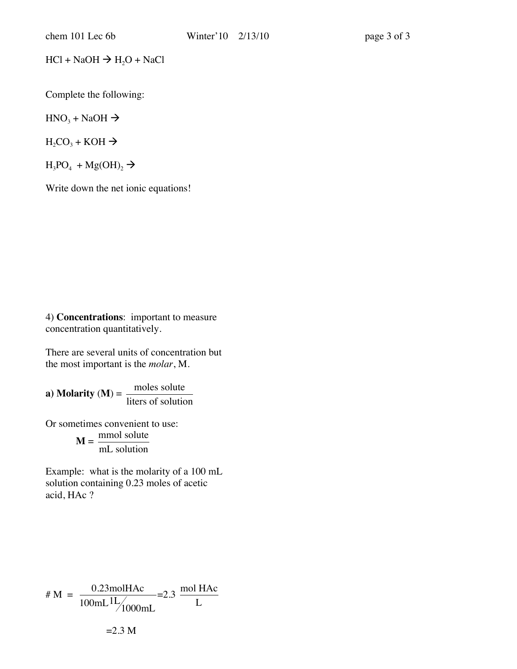$HCl + NaOH \rightarrow H<sub>2</sub>O + NaCl$ 

Complete the following:

 $HNO<sub>3</sub> + NaOH \rightarrow$ 

 $H_2CO_3 + KOH \rightarrow$ 

 $H_3PO_4 + Mg(OH)_2 \rightarrow$ 

Write down the net ionic equations!

4) **Concentrations**: important to measure concentration quantitatively.

There are several units of concentration but the most important is the *molar*, M.

**a**) **Molarity** (**M**) =  $\frac{\text{moles solute}}{\text{moles at a}}$ liters of solution

Or sometimes convenient to use:

 $M = \frac{mmol \text{ solute}}{mI \text{ solution}}$ mL solution

acid, HAc ? Example: what is the molarity of a 100 mL solution containing 0.23 moles of acetic

# M = 
$$
\frac{0.23 \text{mol} \text{H} \text{A} \text{c}}{100 \text{mL}^{11}/1000 \text{mL}} = 2.3 \frac{\text{mol} \text{H} \text{A} \text{c}}{L}
$$

 $=2.3$  M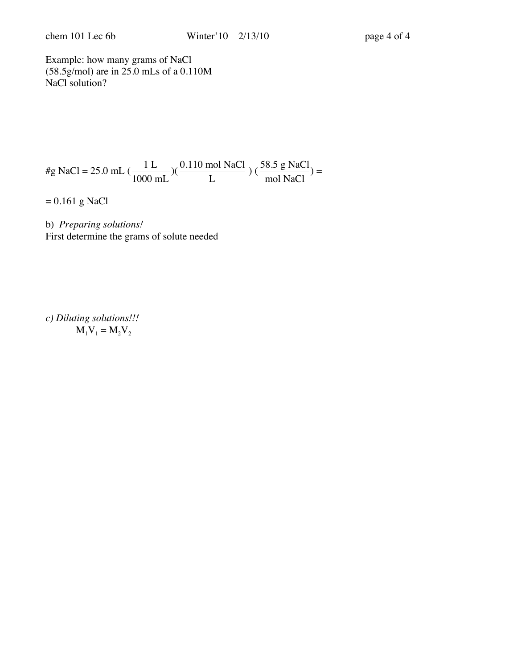Example: how many grams of NaCl (58.5g/mol) are in 25.0 mLs of a 0.110M NaCl solution?

$$
\#g \text{ NaCl} = 25.0 \text{ mL} \left( \frac{1 \text{ L}}{1000 \text{ mL}} \right) \left( \frac{0.110 \text{ mol NaCl}}{\text{L}} \right) \left( \frac{58.5 \text{ g NaCl}}{\text{mol NaCl}} \right) =
$$

= 0.161 g NaCl

b) *Preparing solutions!* First determine the grams of solute needed

*c) Diluting solutions!!!*  $M_1V_1 = M_2V_2$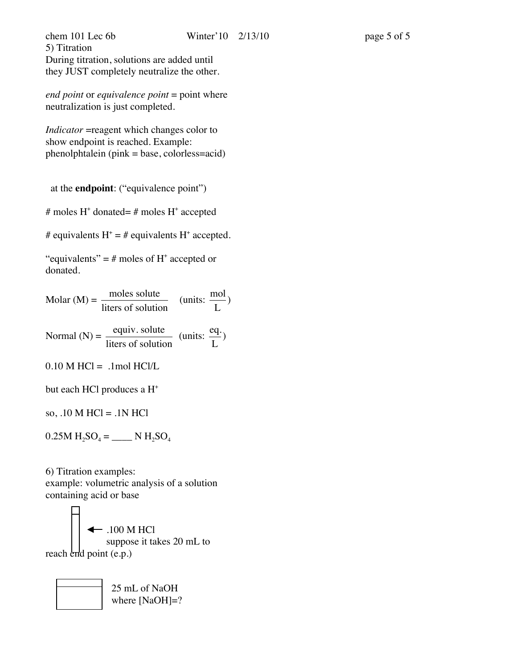*end point* or *equivalence point* = point where neutralization is just completed.

*Indicator* = reagent which changes color to show endpoint is reached. Example: phenolphtalein (pink = base, colorless=acid)

at the **endpoint**: ("equivalence point")

# moles H<sup>+</sup> donated= # moles H<sup>+</sup> accepted

# equivalents  $H^+ = #$  equivalents  $H^+$  accepted.

"equivalents" =  $\#$  moles of H<sup>+</sup> accepted or donated.

| moles solute<br>$Molar(M) =$<br>liters of solution                                               | (units: $\frac{mol}{r}$ ) |
|--------------------------------------------------------------------------------------------------|---------------------------|
| Normal (N) = $\frac{equiv. \text{ solute}}{\text{liters of solution}}$ (units: $\frac{eq.}{L}$ ) |                           |

 $0.10$  M HCl = .1mol HCl/L

but each HCl produces a H<sup>+</sup>

so, .10 M HCl = .1N HCl

 $0.25M H_2SO_4 =$  \_\_\_\_\_\_ N  $H_2SO_4$ 

6) Titration examples: example: volumetric analysis of a solution containing acid or base

 $\leftarrow$  .100 M HCl suppose it takes 20 mL to reach end point (e.p.)

> 25 mL of NaOH where [NaOH]=?